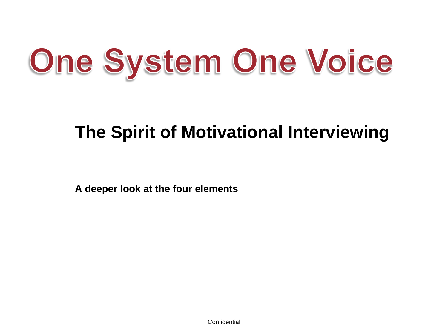# One System One Voice

## **The Spirit of Motivational Interviewing**

**A deeper look at the four elements**

**Confidential**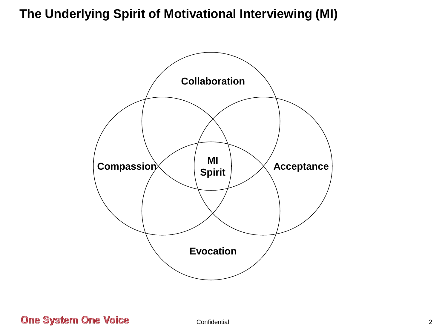## **The Underlying Spirit of Motivational Interviewing (MI)**



**One System One Voice**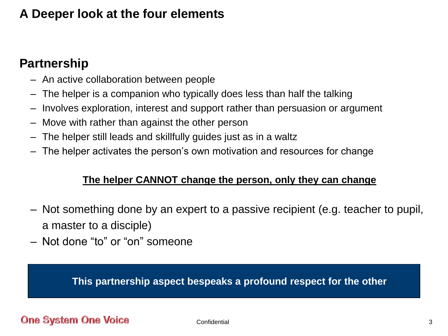## **A Deeper look at the four elements**

## **Partnership**

- An active collaboration between people
- The helper is a companion who typically does less than half the talking
- Involves exploration, interest and support rather than persuasion or argument
- Move with rather than against the other person
- The helper still leads and skillfully guides just as in a waltz
- The helper activates the person's own motivation and resources for change

#### **The helper CANNOT change the person, only they can change**

- Not something done by an expert to a passive recipient (e.g. teacher to pupil, a master to a disciple)
- Not done "to" or "on" someone

**This partnership aspect bespeaks a profound respect for the other**

#### **One System One Voice**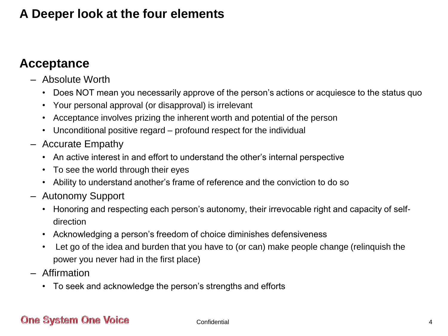## **A Deeper look at the four elements**

## **Acceptance**

- Absolute Worth
	- Does NOT mean you necessarily approve of the person's actions or acquiesce to the status quo
	- Your personal approval (or disapproval) is irrelevant
	- Acceptance involves prizing the inherent worth and potential of the person
	- Unconditional positive regard profound respect for the individual
- Accurate Empathy
	- An active interest in and effort to understand the other's internal perspective
	- To see the world through their eyes
	- Ability to understand another's frame of reference and the conviction to do so
- Autonomy Support
	- Honoring and respecting each person's autonomy, their irrevocable right and capacity of selfdirection
	- Acknowledging a person's freedom of choice diminishes defensiveness
	- Let go of the idea and burden that you have to (or can) make people change (relinquish the power you never had in the first place)
- Affirmation
	- To seek and acknowledge the person's strengths and efforts

#### **One System One Voice**

**Confidential**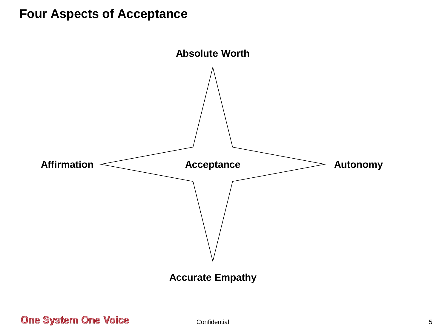### **Four Aspects of Acceptance**



**One System One Voice** 

Confidential 5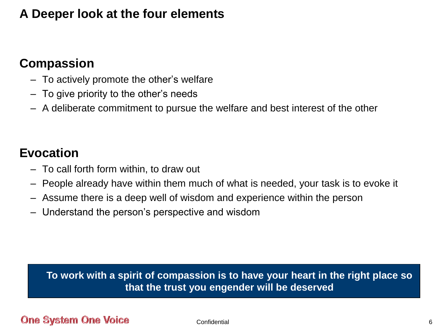## **A Deeper look at the four elements**

## **Compassion**

- To actively promote the other's welfare
- To give priority to the other's needs
- A deliberate commitment to pursue the welfare and best interest of the other

## **Evocation**

- To call forth form within, to draw out
- People already have within them much of what is needed, your task is to evoke it
- Assume there is a deep well of wisdom and experience within the person
- Understand the person's perspective and wisdom

**To work with a spirit of compassion is to have your heart in the right place so that the trust you engender will be deserved**

#### **One System One Voice**